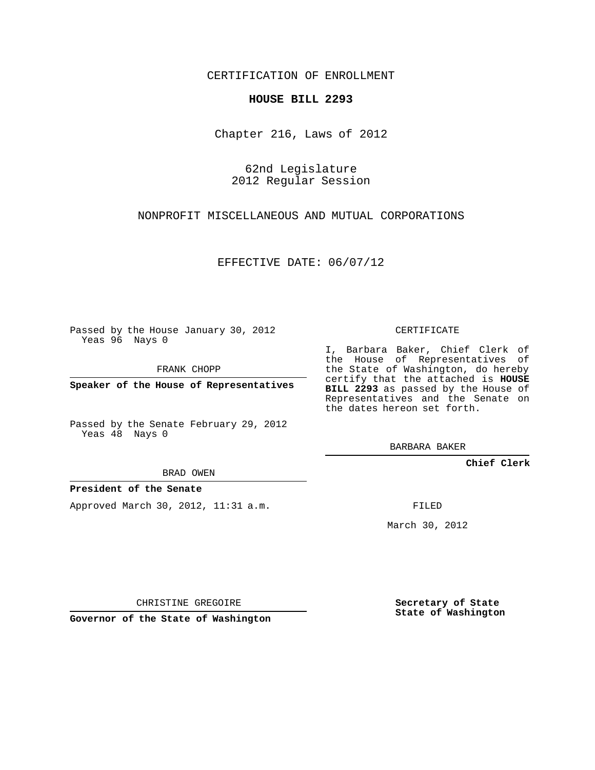CERTIFICATION OF ENROLLMENT

## **HOUSE BILL 2293**

Chapter 216, Laws of 2012

62nd Legislature 2012 Regular Session

NONPROFIT MISCELLANEOUS AND MUTUAL CORPORATIONS

EFFECTIVE DATE: 06/07/12

Passed by the House January 30, 2012 Yeas 96 Nays 0

FRANK CHOPP

**Speaker of the House of Representatives**

Passed by the Senate February 29, 2012 Yeas 48 Nays 0

BRAD OWEN

## **President of the Senate**

Approved March 30, 2012, 11:31 a.m.

CERTIFICATE

I, Barbara Baker, Chief Clerk of the House of Representatives of the State of Washington, do hereby certify that the attached is **HOUSE BILL 2293** as passed by the House of Representatives and the Senate on the dates hereon set forth.

BARBARA BAKER

**Chief Clerk**

FILED

March 30, 2012

CHRISTINE GREGOIRE

**Governor of the State of Washington**

**Secretary of State State of Washington**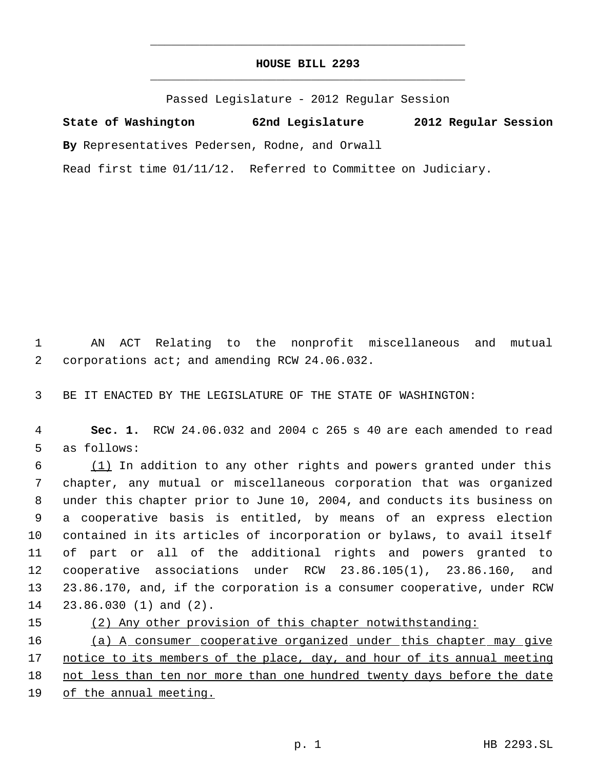## **HOUSE BILL 2293** \_\_\_\_\_\_\_\_\_\_\_\_\_\_\_\_\_\_\_\_\_\_\_\_\_\_\_\_\_\_\_\_\_\_\_\_\_\_\_\_\_\_\_\_\_

\_\_\_\_\_\_\_\_\_\_\_\_\_\_\_\_\_\_\_\_\_\_\_\_\_\_\_\_\_\_\_\_\_\_\_\_\_\_\_\_\_\_\_\_\_

Passed Legislature - 2012 Regular Session

**State of Washington 62nd Legislature 2012 Regular Session By** Representatives Pedersen, Rodne, and Orwall Read first time 01/11/12. Referred to Committee on Judiciary.

 1 AN ACT Relating to the nonprofit miscellaneous and mutual 2 corporations act; and amending RCW 24.06.032.

3 BE IT ENACTED BY THE LEGISLATURE OF THE STATE OF WASHINGTON:

 4 **Sec. 1.** RCW 24.06.032 and 2004 c 265 s 40 are each amended to read 5 as follows:

 (1) In addition to any other rights and powers granted under this chapter, any mutual or miscellaneous corporation that was organized under this chapter prior to June 10, 2004, and conducts its business on a cooperative basis is entitled, by means of an express election contained in its articles of incorporation or bylaws, to avail itself of part or all of the additional rights and powers granted to cooperative associations under RCW 23.86.105(1), 23.86.160, and 23.86.170, and, if the corporation is a consumer cooperative, under RCW 23.86.030 (1) and (2).

15 (2) Any other provision of this chapter notwithstanding: 16 (a) A consumer cooperative organized under this chapter may give 17 notice to its members of the place, day, and hour of its annual meeting 18 not less than ten nor more than one hundred twenty days before the date 19 of the annual meeting.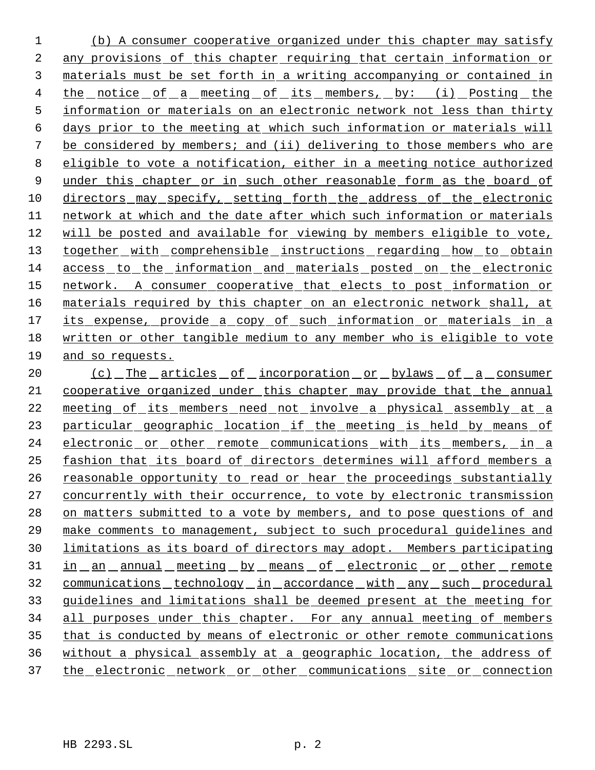(b) A consumer cooperative organized under this chapter may satisfy any provisions of this chapter requiring that certain information or materials must be set forth in a writing accompanying or contained in 4 the notice of a meeting of its members, by: (i) Posting the information or materials on an electronic network not less than thirty days prior to the meeting at which such information or materials will be considered by members; and (ii) delivering to those members who are eligible to vote a notification, either in a meeting notice authorized 9 under this chapter or in such other reasonable form as the board of directors may specify, setting forth the address of the electronic network at which and the date after which such information or materials will be posted and available for viewing by members eligible to vote, 13 together with comprehensible instructions regarding how to obtain access to the information and materials posted on the electronic network. A consumer cooperative that elects to post information or 16 materials required by this chapter on an electronic network shall, at 17 its expense, provide a copy of such information or materials in a written or other tangible medium to any member who is eligible to vote and so requests.

20 (c) The articles of incorporation or bylaws of a consumer cooperative organized under this chapter may provide that the annual meeting of its members need not involve a physical assembly at a 23 particular geographic location if the meeting is held by means of electronic or other remote communications with its members, in a fashion that its board of directors determines will afford members a 26 reasonable opportunity to read or hear the proceedings substantially concurrently with their occurrence, to vote by electronic transmission 28 on matters submitted to a vote by members, and to pose questions of and make comments to management, subject to such procedural guidelines and limitations as its board of directors may adopt. Members participating 31 in an annual meeting by means of electronic or other remote communications technology in accordance with any such procedural guidelines and limitations shall be deemed present at the meeting for 34 all purposes under this chapter. For any annual meeting of members that is conducted by means of electronic or other remote communications without a physical assembly at a geographic location, the address of 37 the electronic network or other communications site or connection